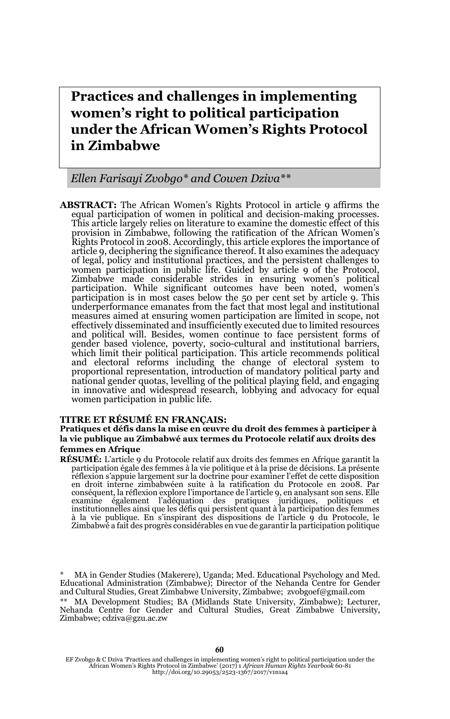**Practices and challenges in implementing women's right to political participation under the African Women's Rights Protocol in Zimbabwe**

### *Ellen Farisayi Zvobgo\* and Cowen Dziva\*\**

**ABSTRACT:** The African Women's Rights Protocol in article 9 affirms the equal participation of women in political and decision-making processes. This article largely relies on literature to examine the domestic effect of this provision in Zimbabwe, following the ratification of the African Women's Rights Protocol in 2008. Accordingly, this article explores the importance of article 9, deciphering the significance thereof. It also examines the adequacy of legal, policy and institutional practices, and the persistent challenges to women participation in public life. Guided by article 9 of the Protocol, Zimbabwe made considerable strides in ensuring women's political participation. While significant outcomes have been noted, women's participation is in most cases below the 50 per cent set by article 9. This underperformance emanates from the fact that most legal and institutional measures aimed at ensuring women participation are limited in scope, not effectively disseminated and insufficiently executed due to limited resources and political will. Besides, women continue to face persistent forms of gender based violence, poverty, socio-cultural and institutional barriers, which limit their political participation. This article recommends political and electoral reforms including the change of electoral system to proportional representation, introduction of mandatory political party and national gender quotas, levelling of the political playing field, and engaging in innovative and widespread research, lobbying and advocacy for equal women participation in public life.

#### **TITRE ET RÉSUMÉ EN FRANÇAIS:**

#### **Pratiques et défis dans la mise en œuvre du droit des femmes à participer à la vie publique au Zimbabwé aux termes du Protocole relatif aux droits des femmes en Afrique**

**RÉSUMÉ:** L'article 9 du Protocole relatif aux droits des femmes en Afrique garantit la participation égale des femmes à la vie politique et à la prise de décisions. La présente réflexion s'appuie largement sur la doctrine pour examiner l'effet de cette disposition en droit interne zimbabwéen suite à la ratification du Protocole en 2008. Par conséquent, la réflexion explore l'importance de l'article 9, en analysant son sens. Elle examine également l'adéquation des pratiques juridiques, politiques et institutionnelles ainsi que les défis qui persistent quant à la participation des femmes<br>à la vie publique. En s'inspirant des dispositions de l'article 9 du Protocole, le<br>Zimbabwé a fait des progrès considérabl

\* MA in Gender Studies (Makerere), Uganda; Med. Educational Psychology and Med. Educational Administration (Zimbabwe); Director of the Nehanda Centre for Gender and Cultural Studies, Great Zimbabwe University, Zimbabwe; zvobgoef@gmail.com \*\* MA Development Studies; BA (Midlands State University, Zimbabwe); Lecturer, Nehanda Centre for Gender and Cultural Studies, Great Zimbabwe University, Zimbabwe; cdziva@gzu.ac.zw

EF Zvobgo & C Dziva 'Practices and challenges in implementing women's right to political participation under the African Women's Rights Protocol in Zimbabwe' (2017) 1 *African Human Rights Yearbook* 60-81 http://doi.org/10.29053/2523-1367/2017/v1n1a4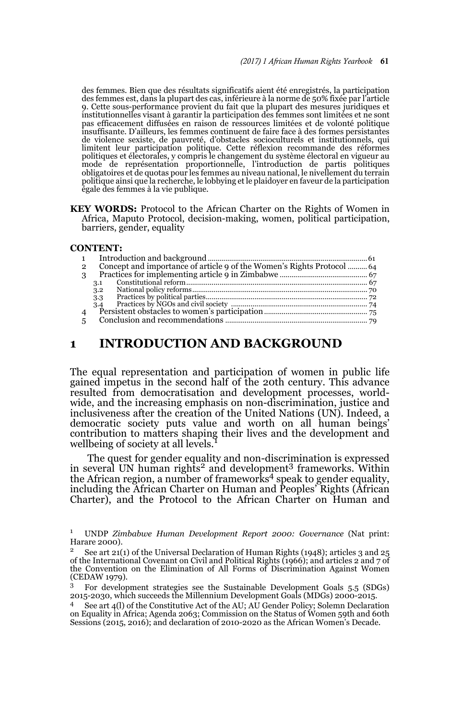des femmes. Bien que des résultats significatifs aient été enregistrés, la participation des femmes est, dans la plupart des cas, inférieure à la norme de 50% fixée par l'article 9. Cette sous-performance provient du fait que la plupart des mesures juridiques et institutionnelles visant à garantir la participation des femmes sont limitées et ne sont pas efficacement diffusées en raison de ressources limitées et de volonté politique insuffisante. D'ailleurs, les femmes continuent de faire face à des formes persistantes de violence sexiste, de pauvreté, d'obstacles socioculturels et institutionnels, qui limitent leur participation politique. Cette réflexion recommande des réformes politiques et électorales, y compris le changement du système électoral en vigueur au mode de représentation proportionnelle, l'introduction de partis politiques obligatoires et de quotas pour les femmes au niveau national, le nivellement du terrain politique ainsi que la recherche, le lobbying et le plaidoyer en faveur de la participation égale des femmes à la vie publique.

**KEY WORDS:** Protocol to the African Charter on the Rights of Women in Africa, Maputo Protocol, decision-making, women, political participation, barriers, gender, equality

#### **CONTENT:**

| $\mathbf{2}$   | Concept and importance of article 9 of the Women's Rights Protocol 64 |  |
|----------------|-----------------------------------------------------------------------|--|
| 3              |                                                                       |  |
|                | 3.1                                                                   |  |
|                | 3.2                                                                   |  |
|                | 3.3                                                                   |  |
|                | 3.4                                                                   |  |
| $\overline{4}$ |                                                                       |  |
| 5              |                                                                       |  |
|                |                                                                       |  |

## **1 INTRODUCTION AND BACKGROUND**

The equal representation and participation of women in public life gained impetus in the second half of the 20th century. This advance resulted from democratisation and development processes, worldwide, and the increasing emphasis on non-discrimination, justice and inclusiveness after the creation of the United Nations (UN). Indeed, a democratic society puts value and worth on all human beings' contribution to matters shaping their lives and the development and wellbeing of society at all levels.

The quest for gender equality and non-discrimination is expressed in several UN human rights<sup>2</sup> and development<sup>3</sup> frameworks. Within the African region, a number of frameworks<sup>4</sup> speak to gender equality, including the African Charter on Human and Peoples' Rights (African Charter), and the Protocol to the African Charter on Human and

<sup>1</sup> UNDP *Zimbabwe Human Development Report 2000: Governance* (Nat print: Harare 2000).

<sup>2</sup> See art 21(1) of the Universal Declaration of Human Rights (1948); articles 3 and 25 of the International Covenant on Civil and Political Rights (1966); and articles 2 and 7 of the Convention on the Elimination of All Forms of Discrimination Against Women (CEDAW 1979).

<sup>3</sup> For development strategies see the Sustainable Development Goals 5.5 (SDGs) 2015-2030, which succeeds the Millennium Development Goals (MDGs) 2000-2015.

See art 4(l) of the Constitutive Act of the AU; AU Gender Policy; Solemn Declaration on Equality in Africa; Agenda 2063; Commission on the Status of Women 59th and 60th Sessions (2015, 2016); and declaration of 2010-2020 as the African Women's Decade.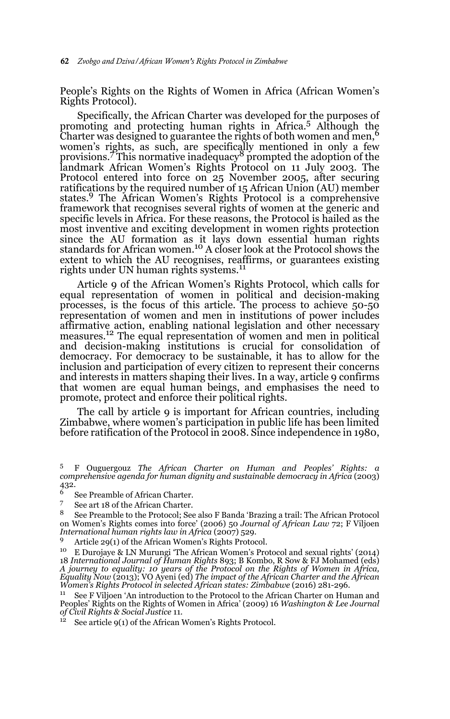People's Rights on the Rights of Women in Africa (African Women's Rights Protocol).

Specifically, the African Charter was developed for the purposes of promoting and protecting human rights in Africa.<sup>5</sup> Although the Charter was designed to guarantee the rights of both women and men,<sup>6</sup> women's rights, as such, are specifically mentioned in only a few provisions.<sup>7</sup> This normative inadequacy<sup>8</sup> prompted the adoption of the landmark African Women's Rights Protocol on 11 July 2003. The Protocol entered into force on 25 November 2005, after securing ratifications by the required number of 15 African Union (AU) member states.9 The African Women's Rights Protocol is a comprehensive framework that recognises several rights of women at the generic and specific levels in Africa. For these reasons, the Protocol is hailed as the most inventive and exciting development in women rights protection since the AU formation as it lays down essential human rights standards for African women.<sup>10</sup> A closer look at the Protocol shows the extent to which the AU recognises, reaffirms, or guarantees existing rights under UN human rights systems.<sup>11</sup>

Article 9 of the African Women's Rights Protocol, which calls for equal representation of women in political and decision-making processes, is the focus of this article. The process to achieve 50-50 representation of women and men in institutions of power includes affirmative action, enabling national legislation and other necessary measures.12 The equal representation of women and men in political and decision-making institutions is crucial for consolidation of democracy. For democracy to be sustainable, it has to allow for the inclusion and participation of every citizen to represent their concerns and interests in matters shaping their lives. In a way, article 9 confirms that women are equal human beings, and emphasises the need to promote, protect and enforce their political rights.

The call by article 9 is important for African countries, including Zimbabwe, where women's participation in public life has been limited before ratification of the Protocol in 2008. Since independence in 1980,

 $12$  See article 9(1) of the African Women's Rights Protocol.

<sup>5</sup> F Ouguergouz *The African Charter on Human and Peoples' Rights: a comprehensive agenda for human dignity and sustainable democracy in Africa* (2003) 432.

 $\frac{6}{7}$  See Preamble of African Charter.<br> $\frac{6}{7}$  See art 18 of the African Charter.

 $\frac{7}{8}$  See art 18 of the African Charter.

<sup>8</sup> See Preamble to the Protocol; See also F Banda 'Brazing a trail: The African Protocol on Women's Rights comes into force' (2006) 50 *Journal of African Law* 72; F Viljoen *International human rights law in Africa* (2007) 529.

<sup>&</sup>lt;sup>9</sup> Article 29(1) of the African Women's Rights Protocol.<br><sup>10</sup> E Durojaye & LN Murungi 'The African Women's Protocol and sexual rights' (2014) 18 *International Journal of Human Rights* 893; B Kombo, R Sow & FJ Mohamed (eds) *A journey to equality: 10 years of the Protocol on the Rights of Women in Africa, Equality Now* (2013); VO Ayeni (ed) *The impact of the African Charter and the African Women's Rights Protocol in selected African states: Zimbabwe* (2016) 281-296.

<sup>&</sup>lt;sup>11</sup> See F Viljoen 'An introduction to the Protocol to the African Charter on Human and Peoples' Rights on the Rights of Women in Africa' (2009) 16 *Washington & Lee Journal of Civil Rights & Social Justice* 11.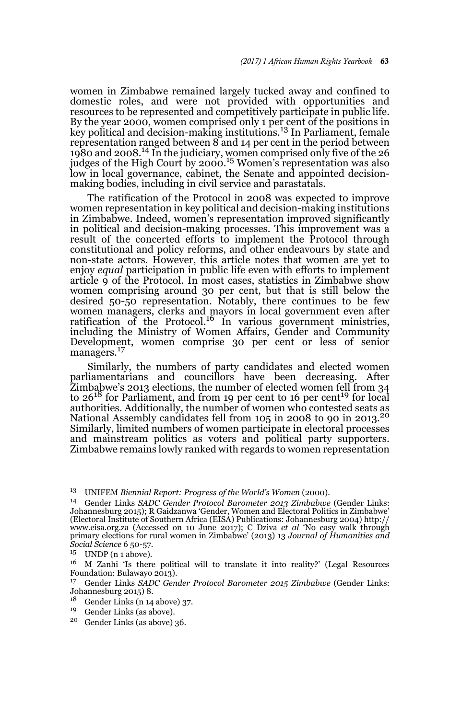women in Zimbabwe remained largely tucked away and confined to domestic roles, and were not provided with opportunities and resources to be represented and competitively participate in public life. By the year 2000, women comprised only 1 per cent of the positions in key political and decision-making institutions.13 In Parliament, female representation ranged between 8 and 14 per cent in the period between 1980 and 2008.14 In the judiciary, women comprised only five of the 26 judges of the High Court by  $2000$ .<sup>15</sup> Women's representation was also low in local governance, cabinet, the Senate and appointed decisionmaking bodies, including in civil service and parastatals.

The ratification of the Protocol in 2008 was expected to improve women representation in key political and decision-making institutions in Zimbabwe. Indeed, women's representation improved significantly in political and decision-making processes. This improvement was a result of the concerted efforts to implement the Protocol through constitutional and policy reforms, and other endeavours by state and non-state actors. However, this article notes that women are yet to enjoy *equal* participation in public life even with efforts to implement article 9 of the Protocol. In most cases, statistics in Zimbabwe show women comprising around 30 per cent, but that is still below the desired 50-50 representation. Notably, there continues to be few women managers, clerks and mayors in local government even after<br>ratification of the Protocol.<sup>16</sup> In various government ministries, including the Ministry of Women Affairs, Gender and Community Development, women comprise 30 per cent or less of senior managers.<sup>17</sup>

Similarly, the numbers of party candidates and elected women parliamentarians and councillors have been decreasing. After Žimbabwe's 2013 elections, the number of elected women fell from 34<br>to 26<sup>18</sup> for Parliament, and from 19 per cent to 16 per cent<sup>19</sup> for local authorities. Additionally, the number of women who contested seats as National Assembly candidates fell from 105 in 2008 to 90 in 2013.<sup>20</sup> Similarly, limited numbers of women participate in electoral processes and mainstream politics as voters and political party supporters. Zimbabwe remains lowly ranked with regards to women representation

- Gender Links (n 14 above) 37.
- <sup>19</sup> Gender Links (as above).
- <sup>20</sup> Gender Links (as above) 36.

<sup>13</sup> UNIFEM *Biennial Report: Progress of the World's Women* (2000).

<sup>14</sup> Gender Links *SADC Gender Protocol Barometer 2013 Zimbabwe* (Gender Links: Johannesburg 2015); R Gaidzanwa 'Gender, Women and Electoral Politics in Zimbabwe' (Electoral Institute of Southern Africa (EISA) Publications: Johannesburg 2004) http:// www.eisa.org.za (Accessed on 10 June 2017); C Dziva *et al* 'No easy walk through primary elections for rural women in Zimbabwe' (2013) 13 *Journal of Humanities and Social Science* 6 50-57.

UNDP (n 1 above).

<sup>16</sup> M Zanhi 'Is there political will to translate it into reality?' (Legal Resources Foundation: Bulawayo 2013).

<sup>17</sup> Gender Links *SADC Gender Protocol Barometer 2015 Zimbabwe* (Gender Links: Johannesburg 2015) 8.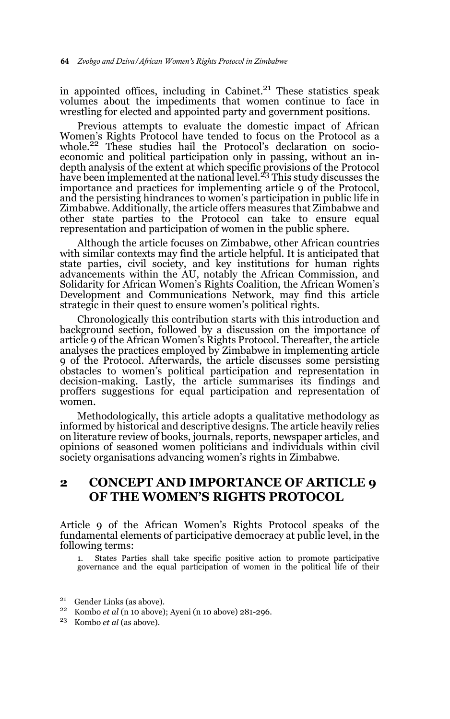in appointed offices, including in Cabinet. $21$  These statistics speak volumes about the impediments that women continue to face in wrestling for elected and appointed party and government positions.

Previous attempts to evaluate the domestic impact of African Women's Rights Protocol have tended to focus on the Protocol as a whole.<sup>22</sup> These studies hail the Protocol's declaration on socioeconomic and political participation only in passing, without an indepth analysis of the extent at which specific provisions of the Protocol<br>have been implemented at the national level.<sup>23</sup> This study discusses the importance and practices for implementing article 9 of the Protocol, and the persisting hindrances to women's participation in public life in Zimbabwe. Additionally, the article offers measures that Zimbabwe and other state parties to the Protocol can take to ensure equal representation and participation of women in the public sphere.

Although the article focuses on Zimbabwe, other African countries with similar contexts may find the article helpful. It is anticipated that state parties, civil society, and key institutions for human rights advancements within the AU, notably the African Commission, and Solidarity for African Women's Rights Coalition, the African Women's Development and Communications Network, may find this article strategic in their quest to ensure women's political rights.

Chronologically this contribution starts with this introduction and background section, followed by a discussion on the importance of article 9 of the African Women's Rights Protocol. Thereafter, the article analyses the practices employed by Zimbabwe in implementing article 9 of the Protocol. Afterwards, the article discusses some persisting obstacles to women's political participation and representation in decision-making. Lastly, the article summarises its findings and proffers suggestions for equal participation and representation of women.

Methodologically, this article adopts a qualitative methodology as informed by historical and descriptive designs. The article heavily relies on literature review of books, journals, reports, newspaper articles, and opinions of seasoned women politicians and individuals within civil society organisations advancing women's rights in Zimbabwe.

# **2 CONCEPT AND IMPORTANCE OF ARTICLE 9 OF THE WOMEN'S RIGHTS PROTOCOL**

Article 9 of the African Women's Rights Protocol speaks of the fundamental elements of participative democracy at public level, in the following terms:

1. States Parties shall take specific positive action to promote participative governance and the equal participation of women in the political life of their

- <sup>21</sup> Gender Links (as above).
- <sup>22</sup> Kombo *et al* (n 10 above); Ayeni (n 10 above) 281-296.
- <sup>23</sup> Kombo *et al* (as above).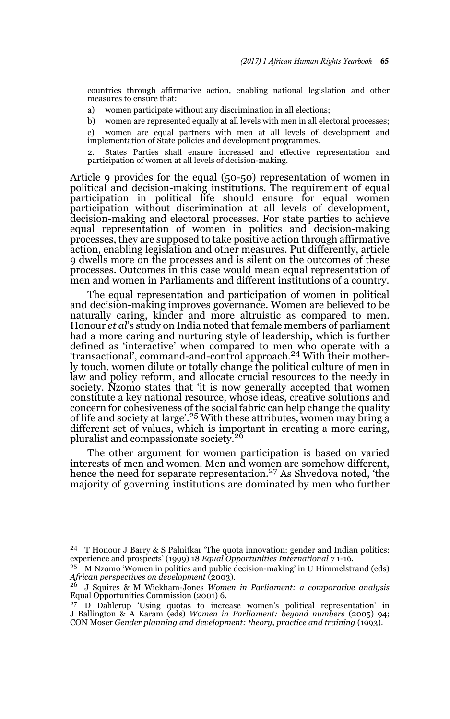countries through affirmative action, enabling national legislation and other measures to ensure that:

- a) women participate without any discrimination in all elections;
- b) women are represented equally at all levels with men in all electoral processes;

c) women are equal partners with men at all levels of development and implementation of State policies and development programmes.

2. States Parties shall ensure increased and effective representation and participation of women at all levels of decision-making.

Article 9 provides for the equal (50-50) representation of women in political and decision-making institutions. The requirement of equal participation in political life should ensure for equal women participation without discrimination at all levels of development, decision-making and electoral processes. For state parties to achieve equal representation of women in politics and decision-making processes, they are supposed to take positive action through affirmative action, enabling legislation and other measures. Put differently, article 9 dwells more on the processes and is silent on the outcomes of these processes. Outcomes in this case would mean equal representation of men and women in Parliaments and different institutions of a country.

The equal representation and participation of women in political and decision-making improves governance. Women are believed to be naturally caring, kinder and more altruistic as compared to men. Honour *et al*'s study on India noted that female members of parliament had a more caring and nurturing style of leadership, which is further defined as 'interactive' when compared to men who operate with a 'transactional', command-and-control approach.24 With their motherly touch, women dilute or totally change the political culture of men in law and policy reform, and allocate crucial resources to the needy in society. Nzomo states that 'it is now generally accepted that women constitute a key national resource, whose ideas, creative solutions and concern for cohesiveness of the social fabric can help change the quality<br>of life and society at large'.<sup>25</sup> With these attributes, women may bring a different set of values, which is important in creating a more caring, pluralist and compassionate society.<sup>26</sup>

The other argument for women participation is based on varied interests of men and women. Men and women are somehow different, hence the need for separate representation.<sup>27</sup> As Shvedova noted, 'the majority of governing institutions are dominated by men who further

<sup>24</sup> T Honour J Barry & S Palnitkar 'The quota innovation: gender and Indian politics: experience and prospects' (1999) 18 *Equal Opportunities International* 7 1-16.

<sup>25</sup> M Nzomo 'Women in politics and public decision-making' in U Himmelstrand (eds) *African perspectives on development* (2003).

<sup>26</sup> J Squires & M Wiekham-Jones *Women in Parliament: a comparative analysis* Equal Opportunities Commission (2001) 6.

<sup>27</sup> D Dahlerup 'Using quotas to increase women's political representation' in J Ballington & A Karam (eds) *Women in Parliament: beyond numbers* (2005) 94; CON Moser *Gender planning and development: theory, practice and training* (1993).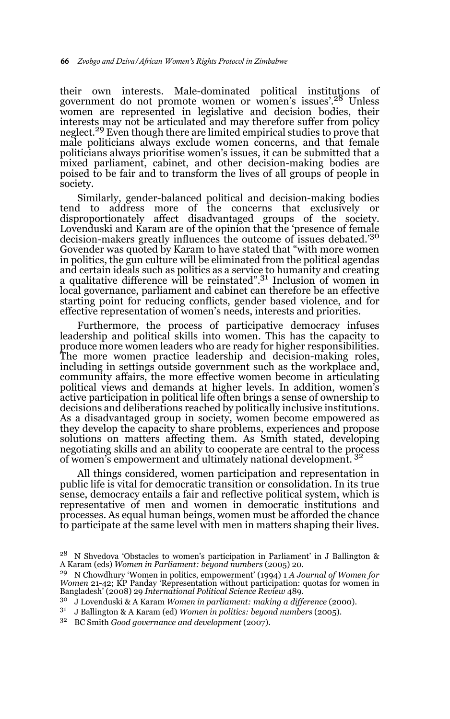their own interests. Male-dominated political institutions of government do not promote women or women's issues'.28 Unless women are represented in legislative and decision bodies, their interests may not be articulated and may therefore suffer from policy neglect.<sup>29</sup> Even though there are limited empirical studies to prove that male politicians always exclude women concerns, and that female politicians always prioritise women's issues, it can be submitted that a mixed parliament, cabinet, and other decision-making bodies are poised to be fair and to transform the lives of all groups of people in society.

Similarly, gender-balanced political and decision-making bodies tend to address more of the concerns that exclusively or disproportionately affect disadvantaged groups of the society. Lovenduski and Karam are of the opinion that the 'presence of female decision-makers greatly influences the outcome of issues debated.'<sup>30</sup> Govender was quoted by Karam to have stated that "with more women in politics, the gun culture will be eliminated from the political agendas and certain ideals such as politics as a service to humanity and creating a qualitative difference will be reinstated".31 Inclusion of women in local governance, parliament and cabinet can therefore be an effective starting point for reducing conflicts, gender based violence, and for effective representation of women's needs, interests and priorities.

Furthermore, the process of participative democracy infuses leadership and political skills into women. This has the capacity to produce more women leaders who are ready for higher responsibilities. The more women practice leadership and decision-making roles, including in settings outside government such as the workplace and, community affairs, the more effective women become in articulating political views and demands at higher levels. In addition, women's active participation in political life often brings a sense of ownership to decisions and deliberations reached by politically inclusive institutions. As a disadvantaged group in society, women become empowered as they develop the capacity to share problems, experiences and propose solutions on matters affecting them. As Smith stated, developing negotiating skills and an ability to cooperate are central to the process of women's empowerment and ultimately national development.<sup>32</sup>

All things considered, women participation and representation in public life is vital for democratic transition or consolidation. In its true sense, democracy entails a fair and reflective political system, which is representative of men and women in democratic institutions and processes. As equal human beings, women must be afforded the chance to participate at the same level with men in matters shaping their lives.

<sup>&</sup>lt;sup>28</sup> N Shvedova 'Obstacles to women's participation in Parliament' in J Ballington & A Karam (eds) *Women in Parliament: beyond numbers* (2005) 20.

<sup>29</sup> N Chowdhury 'Women in politics, empowerment' (1994) 1 *A Journal of Women for Women* 21-42; KP Panday 'Representation without participation: quotas for women in Bangladesh' (2008) 29 *International Political Science Review* 489.

<sup>30</sup> J Lovenduski & A Karam *Women in parliament: making a difference* (2000).

<sup>31</sup> J Ballington & A Karam (ed) *Women in politics: beyond numbers* (2005).

<sup>32</sup> BC Smith *Good governance and development* (2007).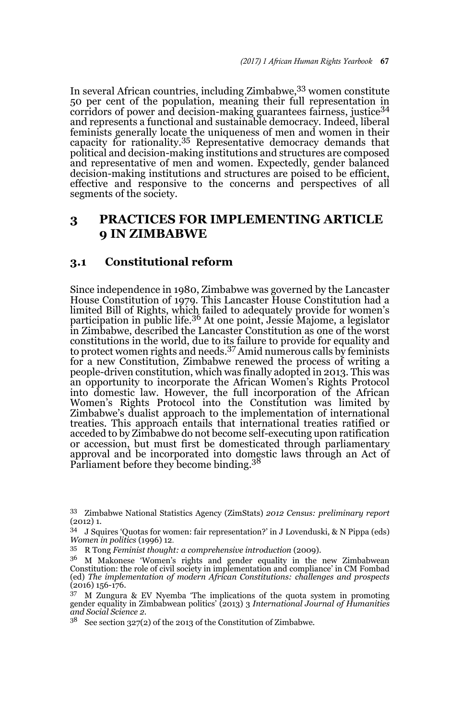In several African countries, including Zimbabwe, 33 women constitute 50 per cent of the population, meaning their full representation in corridors of power and decision-making guarantees fairness, justice<sup>34</sup> and represents a functional and sustainable democracy. Indeed, liberal feminists generally locate the uniqueness of men and women in their capacity for rationality.35 Representative democracy demands that political and decision-making institutions and structures are composed and representative of men and women. Expectedly, gender balanced decision-making institutions and structures are poised to be efficient, effective and responsive to the concerns and perspectives of all segments of the society.

# **3 PRACTICES FOR IMPLEMENTING ARTICLE 9 IN ZIMBABWE**

## **3.1 Constitutional reform**

Since independence in 1980, Zimbabwe was governed by the Lancaster House Constitution of 1979. This Lancaster House Constitution had a limited Bill of Rights, which failed to adequately provide for women's participation in public life.<sup>36</sup> At one point, Jessie Majome, a legislator in Zimbabwe, described the Lancaster Constitution as one of the worst constitutions in the world, due to its failure to provide for equality and to protect women rights and needs.37 Amid numerous calls by feminists for a new Constitution, Zimbabwe renewed the process of writing a people-driven constitution, which was finally adopted in 2013. This was an opportunity to incorporate the African Women's Rights Protocol into domestic law. However, the full incorporation of the African Women's Rights Protocol into the Constitution was limited by Zimbabwe's dualist approach to the implementation of international treaties. This approach entails that international treaties ratified or acceded to by Zimbabwe do not become self-executing upon ratification or accession, but must first be domesticated through parliamentary approval and be incorporated into domestic laws through an Act of<br>Parliament before they become binding.<sup>38</sup>

<sup>33</sup> Zimbabwe National Statistics Agency (ZimStats) *2012 Census: preliminary report* (2012) 1.

<sup>34</sup> J Squires 'Quotas for women: fair representation?' in J Lovenduski, & N Pippa (eds) *Women in politics* (1996) 12.

<sup>35</sup> R Tong *Feminist thought: a comprehensive introduction* (2009).

 $3<sup>6</sup>$  M Makonese 'Women's rights and gender equality in the new Zimbabwean Constitution: the role of civil society in implementation and compliance' in CM Fombad (ed) *The implementation of modern African Constitutions: challenges and prospects* (2016) 156-176.

<sup>37</sup> M Zungura & EV Nyemba 'The implications of the quota system in promoting gender equality in Zimbabwean politics' (2013) 3 *International Journal of Humanities and Social Science 2.*

 $38$  See section 327(2) of the 2013 of the Constitution of Zimbabwe.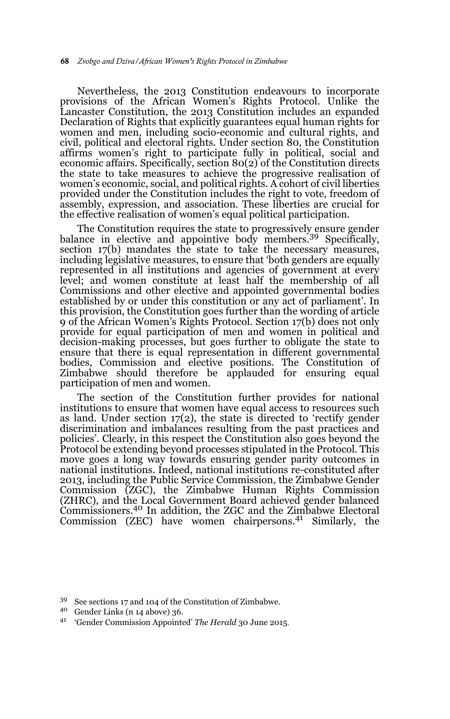Nevertheless, the 2013 Constitution endeavours to incorporate provisions of the African Women's Rights Protocol. Unlike the Lancaster Constitution, the 2013 Constitution includes an expanded Declaration of Rights that explicitly guarantees equal human rights for women and men, including socio-economic and cultural rights, and civil, political and electoral rights. Under section 80, the Constitution affirms women's right to participate fully in political, social and economic affairs. Specifically, section 80(2) of the Constitution directs the state to take measures to achieve the progressive realisation of women's economic, social, and political rights. A cohort of civil liberties provided under the Constitution includes the right to vote, freedom of assembly, expression, and association. These liberties are crucial for the effective realisation of women's equal political participation.

The Constitution requires the state to progressively ensure gender balance in elective and appointive body members.39 Specifically, section 17(b) mandates the state to take the necessary measures, including legislative measures, to ensure that 'both genders are equally represented in all institutions and agencies of government at every level; and women constitute at least half the membership of all Commissions and other elective and appointed governmental bodies established by or under this constitution or any act of parliament'. In this provision, the Constitution goes further than the wording of article 9 of the African Women's Rights Protocol. Section 17(b) does not only provide for equal participation of men and women in political and decision-making processes, but goes further to obligate the state to ensure that there is equal representation in different governmental bodies, Commission and elective positions. The Constitution of Zimbabwe should therefore be applauded for ensuring equal participation of men and women.

The section of the Constitution further provides for national institutions to ensure that women have equal access to resources such as land. Under section 17(2), the state is directed to 'rectify gender discrimination and imbalances resulting from the past practices and policies'. Clearly, in this respect the Constitution also goes beyond the Protocol be extending beyond processes stipulated in the Protocol. This move goes a long way towards ensuring gender parity outcomes in national institutions. Indeed, national institutions re-constituted after 2013, including the Public Service Commission, the Zimbabwe Gender Commission (ZGC), the Zimbabwe Human Rights Commission (ZHRC), and the Local Government Board achieved gender balanced Commissioners.40 In addition, the ZGC and the Zimbabwe Electoral Commission (ZEC) have women chairpersons. $41$  Similarly, the

<sup>39</sup> See sections 17 and 104 of the Constitution of Zimbabwe.

<sup>40</sup> Gender Links (n 14 above) 36.

<sup>41</sup> 'Gender Commission Appointed' *The Herald* 30 June 2015.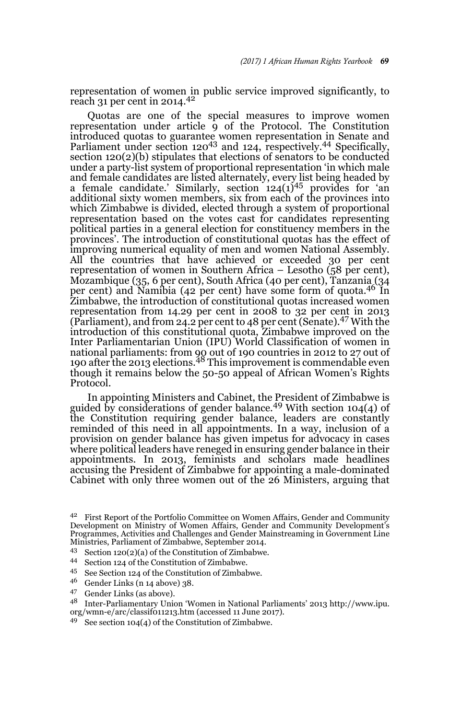representation of women in public service improved significantly, to reach 31 per cent in 2014.<sup>42</sup>

Quotas are one of the special measures to improve women representation under article  $\frac{1}{9}$  of the Protocol. The Constitution introduced quotas to guarantee women representation in Senate and Parliament under section 120<sup>43</sup> and 124, respectively.<sup>44</sup> Specifically, section 120(2)(b) stipulates that elections of senators to be conducted under a party-list system of proportional representation 'in which male and female candidates are listed alternately, every list being headed by a female candidate.' Similarly, section  $124(1)^{45}$  provides for 'an additional sixty women members, six from each of the provinces into which Zimbabwe is divided, elected through a system of proportional representation based on the votes cast for candidates representing political parties in a general election for constituency members in the provinces'. The introduction of constitutional quotas has the effect of improving numerical equality of men and women National Assembly. All the countries that have achieved or exceeded 30 per cent representation of women in Southern Africa – Lesotho (58 per cent), Mozambique (35, 6 per cent), South Africa (40 per cent), Tanzania (34 per cent) and Namibia (42 per cent) have some form of quota.46 In Zimbabwe, the introduction of constitutional quotas increased women representation from 14.29 per cent in 2008 to 32 per cent in 2013 (Parliament), and from 24.2 per cent to 48 per cent (Senate).47 With the introduction of this constitutional quota, Zimbabwe improved on the Inter Parliamentarian Union (IPU) World Classification of women in national parliaments: from 90 out of 190 countries in 2012 to 27 out of<br>190 after the 2013 elections.<sup>48</sup> This improvement is commendable even though it remains below the 50-50 appeal of African Women's Rights Protocol.

In appointing Ministers and Cabinet, the President of Zimbabwe is guided by considerations of gender balance.<sup>49</sup> With section 104(4) of the Constitution requiring gender balance, leaders are constantly reminded of this need in all appointments. In a way, inclusion of a provision on gender balance has given impetus for advocacy in cases where political leaders have reneged in ensuring gender balance in their appointments. In 2013, feminists and scholars made headlines accusing the President of Zimbabwe for appointing a male-dominated Cabinet with only three women out of the 26 Ministers, arguing that

- <sup>43</sup> Section 120(2)(a) of the Constitution of Zimbabwe.
- <sup>44</sup> Section 124 of the Constitution of Zimbabwe.<br> $\frac{45}{7}$  Sec Section 124 of the Constitution of Zimbab
- <sup>45</sup> See Section 124 of the Constitution of Zimbabwe.
- <sup>46</sup> Gender Links (n 14 above) 38.
- <sup>47</sup> Gender Links (as above).
- <sup>48</sup> Inter-Parliamentary Union 'Women in National Parliaments' 2013 http://www.ipu. org/wmn-e/arc/classif011213.htm (accessed 11 June 2017).
- <sup>49</sup> See section 104(4) of the Constitution of Zimbabwe.

<sup>42</sup> First Report of the Portfolio Committee on Women Affairs, Gender and Community Development on Ministry of Women Affairs, Gender and Community Development's Programmes, Activities and Challenges and Gender Mainstreaming in Government Line Ministries, Parliament of Zimbabwe, September 2014.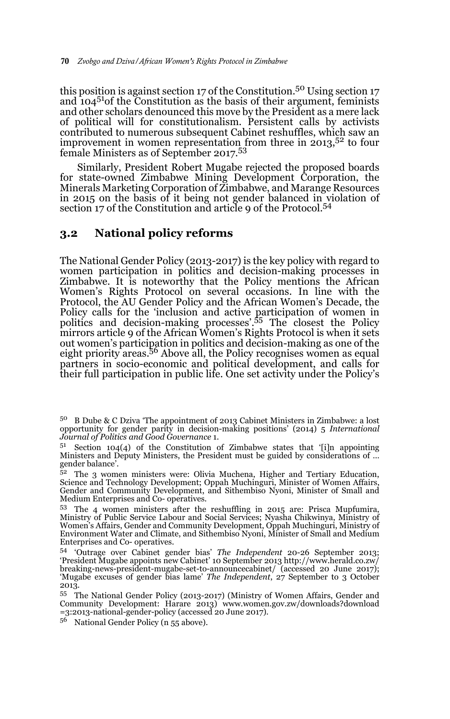this position is against section 17 of the Constitution.<sup>50</sup> Using section 17 and  $104^{51}$ of the Constitution as the basis of their argument, feminists and other scholars denounced this move by the President as a mere lack of political will for constitutionalism. Persistent calls by activists contributed to numerous subsequent Cabinet reshuffles, which saw an improvement in women representation from three in  $2013$ ,  $52$  to four female Ministers as of September 2017.<sup>53</sup>

Similarly, President Robert Mugabe rejected the proposed boards for state-owned Zimbabwe Mining Development Corporation, the Minerals Marketing Corporation of Zimbabwe, and Marange Resources in 2015 on the basis of it being not gender balanced in violation of section 17 of the Constitution and article 9 of the Protocol.<sup>54</sup>

### **3.2 National policy reforms**

The National Gender Policy (2013-2017) is the key policy with regard to women participation in politics and decision-making processes in Zimbabwe. It is noteworthy that the Policy mentions the African Women's Rights Protocol on several occasions. In line with the Protocol, the AU Gender Policy and the African Women's Decade, the Policy calls for the 'inclusion and active participation of women in politics and decision-making processes'.55 The closest the Policy mirrors article 9 of the African Women's Rights Protocol is when it sets out women's participation in politics and decision-making as one of the eight priority areas.56 Above all, the Policy recognises women as equal partners in socio-economic and political development, and calls for their full participation in public life. One set activity under the Policy's

<sup>56</sup> National Gender Policy (n 55 above).

<sup>50</sup> B Dube & C Dziva 'The appointment of 2013 Cabinet Ministers in Zimbabwe: a lost opportunity for gender parity in decision-making positions' (2014) 5 *International Journal of Politics and Good Governance* 1.

Section  $104(4)$  of the Constitution of Zimbabwe states that '[i]n appointing Ministers and Deputy Ministers, the President must be guided by considerations of … gender balance'.

<sup>&</sup>lt;sup>52</sup> The 3 women ministers were: Olivia Muchena, Higher and Tertiary Education, Science and Technology Development; Oppah Muchinguri, Minister of Women Affairs, Gender and Community Development, and Sithembiso Nyoni, Minister of Small and Medium Enterprises and Co- operatives.

<sup>53</sup> The 4 women ministers after the reshuffling in 2015 are: Prisca Mupfumira, Ministry of Public Service Labour and Social Services; Nyasha Chikwinya, Ministry of Women's Affairs, Gender and Community Development, Oppah Muchinguri, Ministry of Environment Water and Climate, and Sithembiso Nyoni, Minister of Small and Medium Enterprises and Co- operatives.

<sup>54</sup> 'Outrage over Cabinet gender bias' *The Independent* 20-26 September 2013; 'President Mugabe appoints new Cabinet' 10 September 2013 http://www.herald.co.zw/ breaking-news-president-mugabe-set-to-announcecabinet/ (accessed 20 June 2017); 'Mugabe excuses of gender bias lame' *The Independent*, 27 September to 3 October 2013.

<sup>55</sup> The National Gender Policy (2013-2017) (Ministry of Women Affairs, Gender and Community Development: Harare 2013) www.women.gov.zw/downloads?download =3:2013-national-gender-policy (accessed 20 June 2017).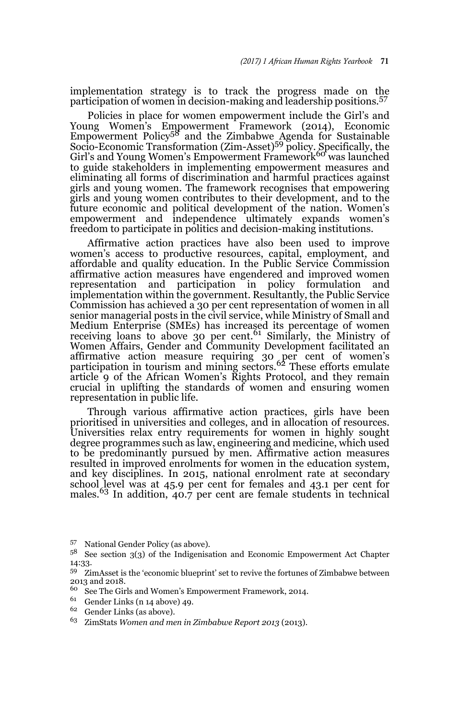implementation strategy is to track the progress made on the participation of women in decision-making and leadership positions.<sup>57</sup>

Policies in place for women empowerment include the Girl's and Young Women's Empowerment Framework (2014), Economic<br>Empowerment Policy<sup>58</sup> and the Zimbabwe Agenda for Sustainable Socio-Economic Transformation (Zim-Asset)<sup>59</sup> policy. Specifically, the Girl's and Young Women's Empowerment Framework<sup>60</sup> was launched to guide stakeholders in implementing empowerment measures and eliminating all forms of discrimination and harmful practices against girls and young women. The framework recognises that empowering girls and young women contributes to their development, and to the future economic and political development of the nation. Women's empowerment and independence ultimately expands women's freedom to participate in politics and decision-making institutions.

Affirmative action practices have also been used to improve women's access to productive resources, capital, employment, and affordable and quality education. In the Public Service Commission affirmative action measures have engendered and improved women representation and participation in policy formulation and implementation within the government. Resultantly, the Public Service Commission has achieved a 30 per cent representation of women in all senior managerial posts in the civil service, while Ministry of Small and Medium Enterprise (SMEs) has increased its percentage of women receiving loans to above 30 per cent.<sup>61</sup> Similarly, the Ministry of Women Affairs, Gender and Community Development facilitated an affirmative action measure requiring 30 per cent of women's participation in tourism and mining sectors.<sup>62</sup> These efforts emulate article 9 of the African Women's Rights Protocol, and they remain crucial in uplifting the standards of women and ensuring women representation in public life.

Through various affirmative action practices, girls have been prioritised in universities and colleges, and in allocation of resources. Universities relax entry requirements for women in highly sought degree programmes such as law, engineering and medicine, which used to be predominantly pursued by men. Affirmative action measures resulted in improved enrolments for women in the education system, and key disciplines. In 2015, national enrolment rate at secondary school level was at 45.9 per cent for females and 43.1 per cent for males.<sup>63</sup> In addition, 40.7 per cent are female students in technical

- <sup>60</sup> See The Girls and Women's Empowerment Framework, 2014.
- Gender Links (n 14 above) 49.
- <sup>62</sup> Gender Links (as above).
- <sup>63</sup> ZimStats *Women and men in Zimbabwe Report 2013* (2013).

<sup>57</sup> National Gender Policy (as above).

<sup>58</sup> See section 3(3) of the Indigenisation and Economic Empowerment Act Chapter 14:33.

<sup>59</sup> ZimAsset is the 'economic blueprint' set to revive the fortunes of Zimbabwe between 2013 and 2018.<br> $60 \quad \text{Soc}$  The Cir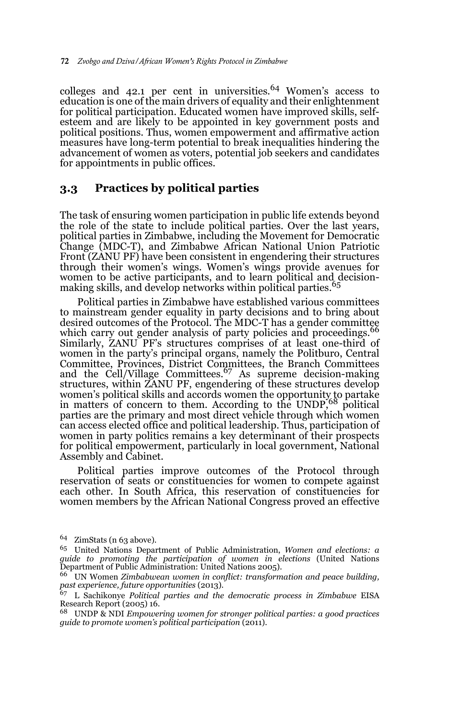colleges and 42.1 per cent in universities.<sup>64</sup> Women's access to education is one of the main drivers of equality and their enlightenment for political participation. Educated women have improved skills, selfesteem and are likely to be appointed in key government posts and political positions. Thus, women empowerment and affirmative action measures have long-term potential to break inequalities hindering the advancement of women as voters, potential job seekers and candidates for appointments in public offices.

## **3.3 Practices by political parties**

The task of ensuring women participation in public life extends beyond the role of the state to include political parties. Over the last years, political parties in Zimbabwe, including the Movement for Democratic Change (MDC-T), and Zimbabwe African National Union Patriotic Front (ZANU PF) have been consistent in engendering their structures through their women's wings. Women's wings provide avenues for women to be active participants, and to learn political and decisionmaking skills, and develop networks within political parties.<sup>65</sup>

Political parties in Zimbabwe have established various committees to mainstream gender equality in party decisions and to bring about desired outcomes of the Protocol. The MDC-T has a gender committee which carry out gender analysis of party policies and proceedings. Similarly, ZANU PF's structures comprises of at least one-third of women in the party's principal organs, namely the Politburo, Central Committee, Provinces, District Committees, the Branch Committees and the Cell/Village Committees.67 As supreme decision-making structures, within ZANU PF, engendering of these structures develop women's political skills and accords women the opportunity to partake in matters of concern to them. According to the UNDP,68 political parties are the primary and most direct vehicle through which women can access elected office and political leadership. Thus, participation of women in party politics remains a key determinant of their prospects for political empowerment, particularly in local government, National Assembly and Cabinet.

Political parties improve outcomes of the Protocol through reservation of seats or constituencies for women to compete against each other. In South Africa, this reservation of constituencies for women members by the African National Congress proved an effective

<sup>64</sup> ZimStats (n 63 above).

<sup>65</sup> United Nations Department of Public Administration, *Women and elections: a guide to promoting the participation of women in elections* (United Nations Department of Public Administration: United Nations 2005).

<sup>66</sup> UN Women *Zimbabwean women in conflict: transformation and peace building, past experience, future opportunities* (2013).

<sup>67</sup> L Sachikonye *Political parties and the democratic process in Zimbabwe* EISA Research Report (2005) 16.

<sup>68</sup> UNDP & NDI *Empowering women for stronger political parties: a good practices guide to promote women's political participation* (2011).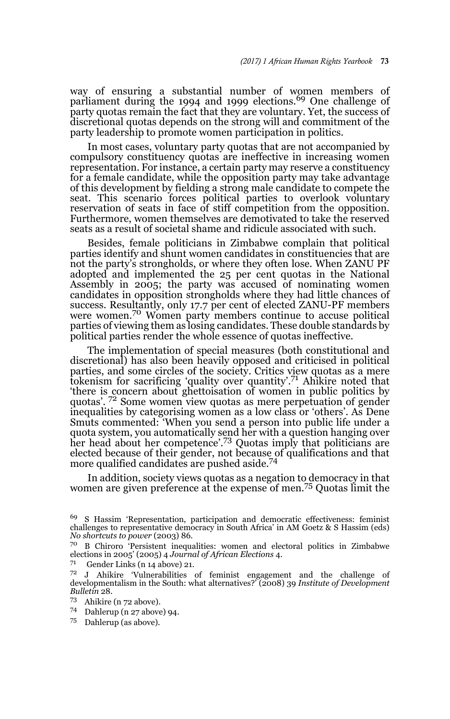way of ensuring a substantial number of women members of parliament during the 1994 and 1999 elections.<sup>69</sup> One challenge of party quotas remain the fact that they are voluntary. Yet, the success of discretional quotas depends on the strong will and commitment of the party leadership to promote women participation in politics.

In most cases, voluntary party quotas that are not accompanied by compulsory constituency quotas are ineffective in increasing women representation. For instance, a certain party may reserve a constituency for a female candidate, while the opposition party may take advantage of this development by fielding a strong male candidate to compete the seat. This scenario forces political parties to overlook voluntary reservation of seats in face of stiff competition from the opposition. Furthermore, women themselves are demotivated to take the reserved seats as a result of societal shame and ridicule associated with such.

Besides, female politicians in Zimbabwe complain that political parties identify and shunt women candidates in constituencies that are not the party's strongholds, or where they often lose. When ZANU PF adopted and implemented the 25 per cent quotas in the National Assembly in 2005; the party was accused of nominating women candidates in opposition strongholds where they had little chances of success. Resultantly, only 17.7 per cent of elected ZANU-PF members<br>were women.<sup>70</sup> Women party members continue to accuse political parties of viewing them as losing candidates. These double standards by political parties render the whole essence of quotas ineffective.

The implementation of special measures (both constitutional and discretional) has also been heavily opposed and criticised in political parties, and some circles of the society. Critics view quotas as a mere tokenism for sacrificing 'quality over quantity'.71 Ahikire noted that 'there is concern about ghettoisation of women in public politics by quotas'. 72 Some women view quotas as mere perpetuation of gender inequalities by categorising women as a low class or 'others'. As Dene Smuts commented: 'When you send a person into public life under a quota system, you automatically send her with a question hanging over her head about her competence'.<sup>73</sup> Quotas imply that politicians are elected because of their gender, not because of qualifications and that more qualified candidates are pushed aside.<sup>74</sup>

In addition, society views quotas as a negation to democracy in that women are given preference at the expense of men.75 Quotas limit the

71 Gender Links (n 14 above) 21.

<sup>69</sup> S Hassim 'Representation, participation and democratic effectiveness: feminist challenges to representative democracy in South Africa' in AM Goetz & S Hassim (eds) *No shortcuts to power* (2003) 86.

<sup>70</sup> B Chiroro 'Persistent inequalities: women and electoral politics in Zimbabwe elections in 2005' (2005) 4 *Journal of African Elections* 4.

<sup>72</sup> J Ahikire 'Vulnerabilities of feminist engagement and the challenge of developmentalism in the South: what alternatives?' (2008) 39 *Institute of Development Bulletin* 28.

Ahikire (n 72 above).

<sup>74</sup> Dahlerup (n 27 above) 94.

<sup>75</sup> Dahlerup (as above).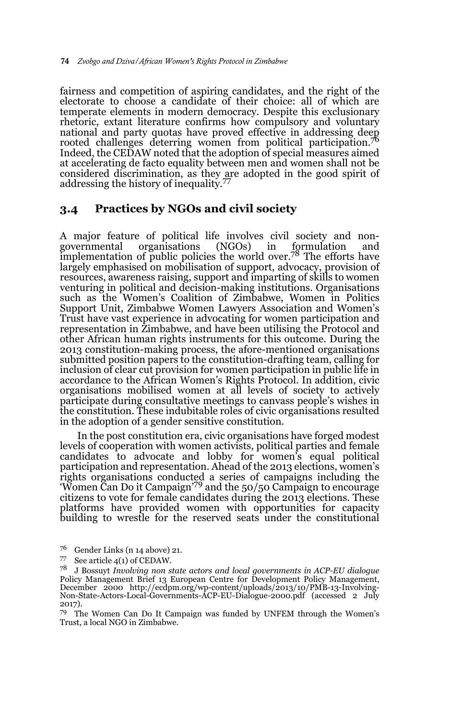fairness and competition of aspiring candidates, and the right of the electorate to choose a candidate of their choice: all of which are temperate elements in modern democracy. Despite this exclusionary rhetoric, extant literature confirms how compulsory and voluntary national and party quotas have proved effective in addressing deep rooted challenges deterring women from political participation.76 Indeed, the CEDAW noted that the adoption of special measures aimed at accelerating de facto equality between men and women shall not be considered discrimination, as they are adopted in the good spirit of addressing the history of inequality.<sup>77</sup>

### **3.4 Practices by NGOs and civil society**

A major feature of political life involves civil society and nonorganisations (NGOs) in formulation implementation of public policies the world over.78 The efforts have largely emphasised on mobilisation of support, advocacy, provision of resources, awareness raising, support and imparting of skills to women venturing in political and decision-making institutions. Organisations such as the Women's Coalition of Zimbabwe, Women in Politics Support Unit, Zimbabwe Women Lawyers Association and Women's Trust have vast experience in advocating for women participation and representation in Zimbabwe, and have been utilising the Protocol and other African human rights instruments for this outcome. During the 2013 constitution-making process, the afore-mentioned organisations submitted position papers to the constitution-drafting team, calling for inclusion of clear cut provision for women participation in public life in accordance to the African Women's Rights Protocol. In addition, civic organisations mobilised women at all levels of society to actively participate during consultative meetings to canvass people's wishes in the constitution. These indubitable roles of civic organisations resulted in the adoption of a gender sensitive constitution.

In the post constitution era, civic organisations have forged modest levels of cooperation with women activists, political parties and female candidates to advocate and lobby for women's equal political participation and representation. Ahead of the 2013 elections, women's rights organisations conducted a series of campaigns including the 'Women Can Do it Campaign'79 and the 50/50 Campaign to encourage citizens to vote for female candidates during the 2013 elections. These platforms have provided women with opportunities for capacity building to wrestle for the reserved seats under the constitutional

<sup>&</sup>lt;sup>76</sup> Gender Links (n 14 above) 21.<br><sup>77</sup> See article 4(1) of CEDAW

See article  $4(1)$  of CEDAW.

<sup>78</sup> J Bossuyt *Involving non state actors and local governments in ACP-EU dialogue* Policy Management Brief 13 European Centre for Development Policy Management, December 2000 http://ecdpm.org/wp-content/uploads/2013/10/PMB-13-Involving-Non-State-Actors-Local-Governments-ACP-EU-Dialogue-2000.pdf (accessed 2 July 2017).

<sup>79</sup> The Women Can Do It Campaign was funded by UNFEM through the Women's Trust, a local NGO in Zimbabwe.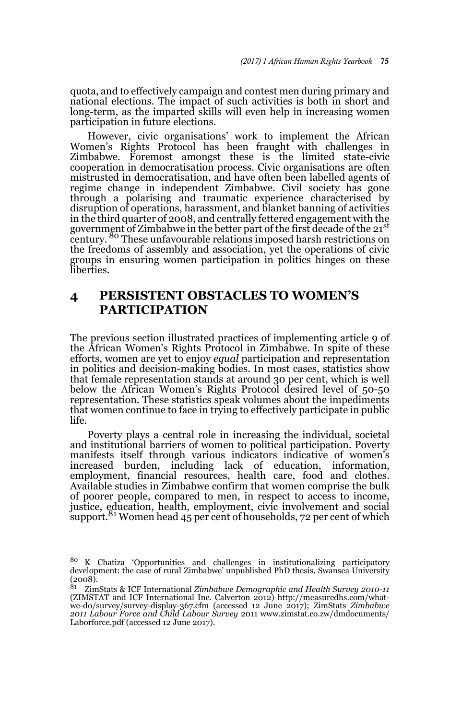quota, and to effectively campaign and contest men during primary and national elections. The impact of such activities is both in short and long-term, as the imparted skills will even help in increasing women participation in future elections.

However, civic organisations' work to implement the African Women's Rights Protocol has been fraught with challenges in Zimbabwe. Foremost amongst these is the limited state-civic cooperation in democratisation process. Civic organisations are often mistrusted in democratisation, and have often been labelled agents of regime change in independent Zimbabwe. Civil society has gone through a polarising and traumatic experience characterised by disruption of operations, harassment, and blanket banning of activities in the third quarter of 2008, and centrally fettered engagement with the government of Zimbabwe in the better part of the first decade of the 21<sup>st</sup> century. 80 These unfavourable relations imposed harsh restrictions on the freedoms of assembly and association, yet the operations of civic groups in ensuring women participation in politics hinges on these liberties.

# **4 PERSISTENT OBSTACLES TO WOMEN'S PARTICIPATION**

The previous section illustrated practices of implementing article 9 of the African Women's Rights Protocol in Zimbabwe. In spite of these efforts, women are yet to enjoy *equal* participation and representation in politics and decision-making bodies. In most cases, statistics show that female representation stands at around 30 per cent, which is well below the African Women's Rights Protocol desired level of 50-50 representation. These statistics speak volumes about the impediments that women continue to face in trying to effectively participate in public life.

Poverty plays a central role in increasing the individual, societal and institutional barriers of women to political participation. Poverty manifests itself through various indicators indicative of women's increased burden, including lack of education, information, employment, financial resources, health care, food and clothes. Available studies in Zimbabwe confirm that women comprise the bulk of poorer people, compared to men, in respect to access to income, justice, education, health, employment, civic involvement and social support.<sup>81</sup> Women head 45 per cent of households, 72 per cent of which

<sup>80</sup> K Chatiza 'Opportunities and challenges in institutionalizing participatory development: the case of rural Zimbabwe' unpublished PhD thesis, Swansea University  $\begin{array}{c} (2008) \\ 81 \end{array}$ 

<sup>81</sup> ZimStats & ICF International *Zimbabwe Demographic and Health Survey 2010-11* (ZIMSTAT and ICF International Inc. Calverton 2012) http://measuredhs.com/whatwe-do/survey/survey-display-367.cfm (accessed 12 June 2017); ZimStats *Zimbabwe 2011 Labour Force and Child Labour Survey* 2011 www.zimstat.co.zw/dmdocuments/ Laborforce.pdf (accessed 12 June 2017).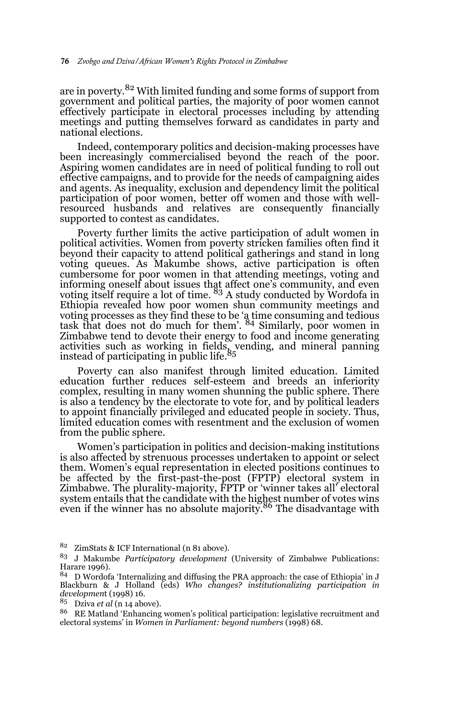are in poverty.82 With limited funding and some forms of support from government and political parties, the majority of poor women cannot effectively participate in electoral processes including by attending meetings and putting themselves forward as candidates in party and national elections.

Indeed, contemporary politics and decision-making processes have been increasingly commercialised beyond the reach of the poor. Aspiring women candidates are in need of political funding to roll out effective campaigns, and to provide for the needs of campaigning aides and agents. As inequality, exclusion and dependency limit the political participation of poor women, better off women and those with wellresourced husbands and relatives are consequently financially supported to contest as candidates.

Poverty further limits the active participation of adult women in political activities. Women from poverty stricken families often find it beyond their capacity to attend political gatherings and stand in long voting queues. As Makumbe shows, active participation is often cumbersome for poor women in that attending meetings, voting and informing oneself about issues that affect one's community, and even voting itself require a lot of time. 83 A study conducted by Wordofa in Ethiopia revealed how poor women shun community meetings and voting processes as they find these to be 'a time consuming and tedious task that does not do much for them'. 84 Similarly, poor women in Zimbabwe tend to devote their energy to food and income generating activities such as working in fields, vending, and mineral panning<br>instead of participating in public life.<sup>85</sup>

Poverty can also manifest through limited education. Limited education further reduces self-esteem and breeds an inferiority complex, resulting in many women shunning the public sphere. There is also a tendency by the electorate to vote for, and by political leaders to appoint financially privileged and educated people in society. Thus, limited education comes with resentment and the exclusion of women from the public sphere.

Women's participation in politics and decision-making institutions is also affected by strenuous processes undertaken to appoint or select them. Women's equal representation in elected positions continues to be affected by the first-past-the-post (FPTP) electoral system in Zimbabwe. The plurality-majority, FPTP or 'winner takes all' electoral system entails that the candidate with the highest number of votes wins even if the winner has no absolute majority.<sup>86</sup> The disadvantage with

<sup>82</sup> ZimStats & ICF International (n 81 above).

<sup>83</sup> J Makumbe *Participatory development* (University of Zimbabwe Publications: Harare 1996).

 $84$  D Wordofa 'Internalizing and diffusing the PRA approach: the case of Ethiopia' in J Blackburn & J Holland (eds) *Who changes? institutionalizing participation in developmen*t (1998) 16.

<sup>85</sup> Dziva *et al* (n 14 above).

<sup>&</sup>lt;sup>86</sup> RE Matland 'Enhancing women's political participation: legislative recruitment and electoral systems' in *Women in Parliament: beyond numbers* (1998) 68.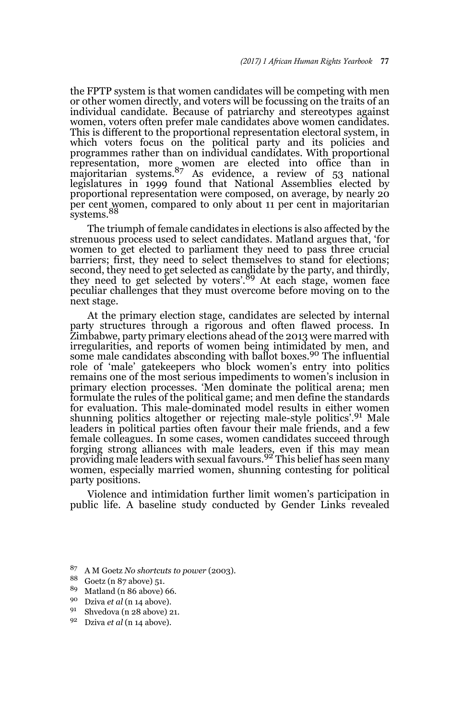the FPTP system is that women candidates will be competing with men or other women directly, and voters will be focussing on the traits of an individual candidate. Because of patriarchy and stereotypes against women, voters often prefer male candidates above women candidates. This is different to the proportional representation electoral system, in which voters focus on the political party and its policies and programmes rather than on individual candidates. With proportional representation, more women are elected into office than in majoritarian systems.87 As evidence, a review of 53 national legislatures in 1999 found that National Assemblies elected by proportional representation were composed, on average, by nearly 20 per cent women, compared to only about 11 per cent in majoritarian systems.<sup>88</sup>

The triumph of female candidates in elections is also affected by the strenuous process used to select candidates. Matland argues that, 'for women to get elected to parliament they need to pass three crucial barriers; first, they need to select themselves to stand for elections; second, they need to get selected as candidate by the party, and thirdly, they need to get selected by voters'.<sup>89</sup> At each stage, women face peculiar challenges that they must overcome before moving on to the next stage.

At the primary election stage, candidates are selected by internal party structures through a rigorous and often flawed process. In Zimbabwe, party primary elections ahead of the 2013 were marred with irregularities, and reports of women being intimidated by men, and some male candidates absconding with ballot boxes.90 The influential role of 'male' gatekeepers who block women's entry into politics remains one of the most serious impediments to women's inclusion in primary election processes. 'Men dominate the political arena; men formulate the rules of the political game; and men define the standards for evaluation. This male-dominated model results in either women shunning politics altogether or rejecting male-style politics'.91 Male leaders in political parties often favour their male friends, and a few female colleagues. In some cases, women candidates succeed through forging strong alliances with male leaders, even if this may mean<br>providing male leaders with sexual favours.<sup>92</sup> This belief has seen many women, especially married women, shunning contesting for political party positions.

Violence and intimidation further limit women's participation in public life. A baseline study conducted by Gender Links revealed

<sup>87</sup> A M Goetz *No shortcuts to power* (2003).

 $\frac{88}{89}$  Goetz (n 87 above) 51.<br> $\frac{89}{89}$  Method (n 86 above)

<sup>&</sup>lt;sup>89</sup> Matland (n 86 above) 66.<br><sup>90</sup> Prime at a<sup>1 (n</sup> 14 above)

Dziva *et al* (n 14 above).

<sup>91</sup> Shvedova (n 28 above) 21.

<sup>92</sup> Dziva *et al* (n 14 above).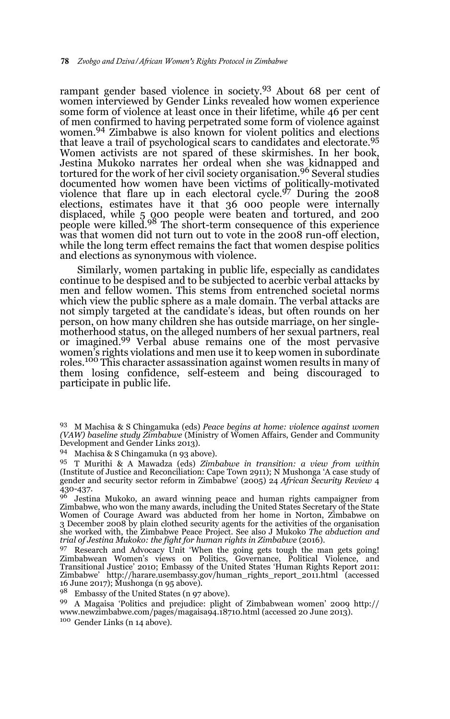rampant gender based violence in society.93 About 68 per cent of women interviewed by Gender Links revealed how women experience some form of violence at least once in their lifetime, while 46 per cent of men confirmed to having perpetrated some form of violence against women.<sup>94</sup> Zimbabwe is also known for violent politics and elections that leave a trail of psychological scars to candidates and electorate.95 Women activists are not spared of these skirmishes. In her book, Jestina Mukoko narrates her ordeal when she was kidnapped and tortured for the work of her civil society organisation.96 Several studies documented how women have been victims of politically-motivated violence that flare up in each electoral cycle.<sup>97</sup> During the 2008 elections, estimates have it that 36 000 people were internally displaced, while 5 000 people were beaten and tortured, and 200 people were killed.98 The short-term consequence of this experience was that women did not turn out to vote in the 2008 run-off election, while the long term effect remains the fact that women despise politics and elections as synonymous with violence.

Similarly, women partaking in public life, especially as candidates continue to be despised and to be subjected to acerbic verbal attacks by men and fellow women. This stems from entrenched societal norms which view the public sphere as a male domain. The verbal attacks are not simply targeted at the candidate's ideas, but often rounds on her person, on how many children she has outside marriage, on her singlemotherhood status, on the alleged numbers of her sexual partners, real or imagined.<sup>99</sup> Verbal abuse remains one of the most pervasive women's rights violations and men use it to keep women in subordinate roles.<sup>100</sup> This character assassination against women results in many of them losing confidence, self-esteem and being discouraged to participate in public life.

<sup>98</sup> Embassy of the United States (n 97 above).

<sup>99</sup> A Magaisa 'Politics and prejudice: plight of Zimbabwean women' 2009 http:// www.newzimbabwe.com/pages/magaisa94.18710.html (accessed 20 June 2013). <sup>100</sup> Gender Links (n 14 above).

<sup>93</sup> M Machisa & S Chingamuka (eds) *Peace begins at home: violence against women (VAW) baseline study Zimbabwe* (Ministry of Women Affairs, Gender and Community Development and Gender Links 2013).

<sup>94</sup> Machisa & S Chingamuka (n 93 above).

<sup>95</sup> T Murithi & A Mawadza (eds) *Zimbabwe in transition: a view from within* (Institute of Justice and Reconciliation: Cape Town 2911); N Mushonga 'A case study of gender and security sector reform in Zimbabwe' (2005) 24 *African Security Review* 4 430-437.

<sup>&</sup>lt;sup>96</sup> Jestina Mukoko, an award winning peace and human rights campaigner from<br>Zimbabwe, who won the many awards, including the United States Secretary of the State Women of Courage Award was abducted from her home in Norton, Zimbabwe on 3 December 2008 by plain clothed security agents for the activities of the organisation she worked with, the Zimbabwe Peace Project. See also J Mukoko *The abduction and trial of Jestina Mukoko: the fight for human rights in Zimbabwe* (2016).

<sup>97</sup> Research and Advocacy Unit 'When the going gets tough the man gets going! Zimbabwean Women's views on Politics, Governance, Political Violence, and Transitional Justice' 2010; Embassy of the United States 'Human Rights Report 2011: Zimbabwe' http://harare.usembassy.gov/human\_rights\_report\_2011.html (accessed 16 June 2017); Mushonga (n 95 above).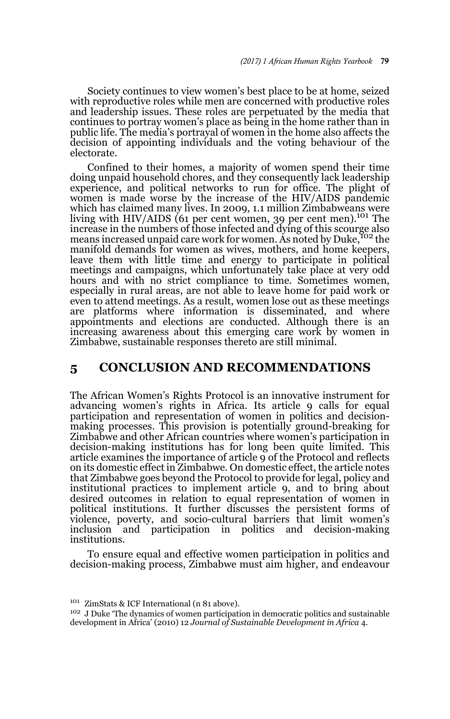Society continues to view women's best place to be at home, seized with reproductive roles while men are concerned with productive roles and leadership issues. These roles are perpetuated by the media that continues to portray women's place as being in the home rather than in public life. The media's portrayal of women in the home also affects the decision of appointing individuals and the voting behaviour of the electorate.

Confined to their homes, a majority of women spend their time doing unpaid household chores, and they consequently lack leadership experience, and political networks to run for office. The plight of women is made worse by the increase of the HIV/AIDS pandemic which has claimed many lives. In 2009, 1.1 million Zimbabweans were living with HIV/AIDS (61 per cent women, 39 per cent men).<sup>101</sup> The increase in the numbers of those infected and dying of this scourge also means increased unpaid care work for women. As noted by Duke, Yo2 the manifold demands for women as wives, mothers, and home keepers, leave them with little time and energy to participate in political meetings and campaigns, which unfortunately take place at very odd hours and with no strict compliance to time. Sometimes women, especially in rural areas, are not able to leave home for paid work or even to attend meetings. As a result, women lose out as these meetings are platforms where information is disseminated, and where appointments and elections are conducted. Although there is an increasing awareness about this emerging care work by women in Zimbabwe, sustainable responses thereto are still minimal.

## **5 CONCLUSION AND RECOMMENDATIONS**

The African Women's Rights Protocol is an innovative instrument for advancing women's rights in Africa. Its article 9 calls for equal participation and representation of women in politics and decisionmaking processes. This provision is potentially ground-breaking for Zimbabwe and other African countries where women's participation in decision-making institutions has for long been quite limited. This article examines the importance of article 9 of the Protocol and reflects on its domestic effect in Zimbabwe. On domestic effect, the article notes that Zimbabwe goes beyond the Protocol to provide for legal, policy and institutional practices to implement article 9, and to bring about desired outcomes in relation to equal representation of women in political institutions. It further discusses the persistent forms of violence, poverty, and socio-cultural barriers that limit women's inclusion and participation in politics and decision-making institutions.

To ensure equal and effective women participation in politics and decision-making process, Zimbabwe must aim higher, and endeavour

<sup>101</sup> ZimStats & ICF International (n 81 above).

<sup>&</sup>lt;sup>102</sup> J Duke 'The dynamics of women participation in democratic politics and sustainable development in Africa' (2010) 12 *Journal of Sustainable Development in Africa* 4.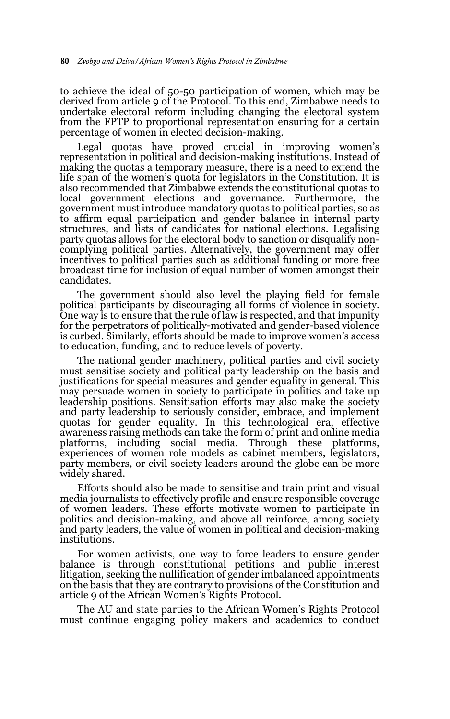to achieve the ideal of 50-50 participation of women, which may be derived from article 9 of the Protocol. To this end, Zimbabwe needs to undertake electoral reform including changing the electoral system from the FPTP to proportional representation ensuring for a certain percentage of women in elected decision-making.

Legal quotas have proved crucial in improving women's representation in political and decision-making institutions. Instead of making the quotas a temporary measure, there is a need to extend the life span of the women's quota for legislators in the Constitution. It is also recommended that Zimbabwe extends the constitutional quotas to local government elections and governance. Furthermore, the government must introduce mandatory quotas to political parties, so as to affirm equal participation and gender balance in internal party structures, and lists of candidates for national elections. Legalising party quotas allows for the electoral body to sanction or disqualify noncomplying political parties. Alternatively, the government may offer incentives to political parties such as additional funding or more free broadcast time for inclusion of equal number of women amongst their candidates.

The government should also level the playing field for female political participants by discouraging all forms of violence in society. One way is to ensure that the rule of law is respected, and that impunity for the perpetrators of politically-motivated and gender-based violence is curbed. Similarly, efforts should be made to improve women's access to education, funding, and to reduce levels of poverty.

The national gender machinery, political parties and civil society must sensitise society and political party leadership on the basis and justifications for special measures and gender equality in general. This may persuade women in society to participate in politics and take up leadership positions. Sensitisation efforts may also make the society and party leadership to seriously consider, embrace, and implement quotas for gender equality. In this technological era, effective awareness raising methods can take the form of print and online media platforms, including social media. Through these platforms, experiences of women role models as cabinet members, legislators, party members, or civil society leaders around the globe can be more widely shared.

Efforts should also be made to sensitise and train print and visual media journalists to effectively profile and ensure responsible coverage of women leaders. These efforts motivate women to participate in politics and decision-making, and above all reinforce, among society and party leaders, the value of women in political and decision-making institutions.

For women activists, one way to force leaders to ensure gender balance is through constitutional petitions and public interest litigation, seeking the nullification of gender imbalanced appointments on the basis that they are contrary to provisions of the Constitution and article 9 of the African Women's Rights Protocol.

The AU and state parties to the African Women's Rights Protocol must continue engaging policy makers and academics to conduct